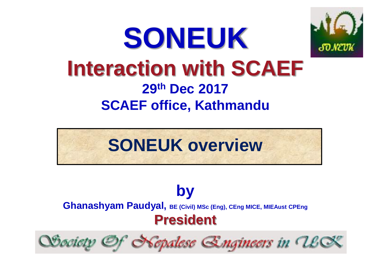## **SONEUK Interaction with SCAEF 29th Dec 2017 SCAEF office, Kathmandu**



**by Ghanashyam Paudyal, BE (Civil) MSc (Eng), CEng MICE, MIEAust CPEng President**

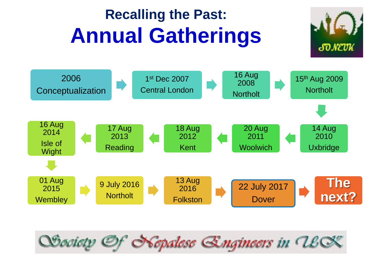### **Recalling the Past: Annual Gatherings**





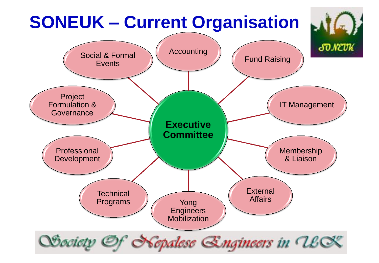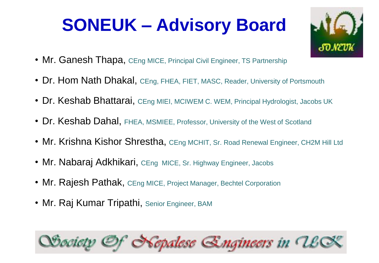### **SONEUK – Advisory Board**



- Mr. Ganesh Thapa, CEng MICE, Principal Civil Engineer, TS Partnership
- Dr. Hom Nath Dhakal, CEng, FHEA, FIET, MASC, Reader, University of Portsmouth
- Dr. Keshab Bhattarai, CEng MIEI, MCIWEM C. WEM, Principal Hydrologist, Jacobs UK
- Dr. Keshab Dahal, FHEA, MSMIEE, Professor, University of the West of Scotland
- Mr. Krishna Kishor Shrestha, CEng MCHIT, Sr. Road Renewal Engineer, CH2M Hill Ltd
- Mr. Nabaraj Adkhikari, CEng MICE, Sr. Highway Engineer, Jacobs
- Mr. Rajesh Pathak, CEng MICE, Project Manager, Bechtel Corporation
- Mr. Raj Kumar Tripathi, Senior Engineer, BAM

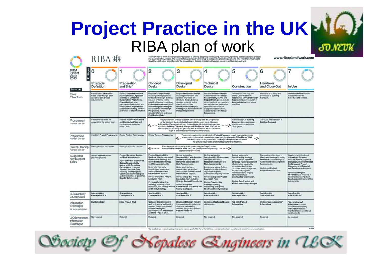#### **Project Practice in the UK**RIBA plan of work SO NEVK **RIBA 出** .<br>The RBA Plan of Work 2013 organises the process of briefing, designing, constructing, maintaining, operating and using building projects<br>Into a number of key stages. The content of stages may vary or overlap to suit spec



| RIBA<br><b>Stage:</b><br>Plan of<br>Work<br>2013       | n                                                                                                 |                                                                                                                                                                                                                                                                                                                       | 2                                                                                                                                                                                                                                                                                                                                                                                                                            | 3                                                                                                                                                                                                                                                                                                                                                                                                                                           | 4                                                                                                                                                                                                                                                                                                                                                                                                                   | 5                                                                                                                                                                                                                                                                                                                                                                   | 6                                                                                                                                                                                                               |                                                                                                                                                                                                                                                                                                                                        |
|--------------------------------------------------------|---------------------------------------------------------------------------------------------------|-----------------------------------------------------------------------------------------------------------------------------------------------------------------------------------------------------------------------------------------------------------------------------------------------------------------------|------------------------------------------------------------------------------------------------------------------------------------------------------------------------------------------------------------------------------------------------------------------------------------------------------------------------------------------------------------------------------------------------------------------------------|---------------------------------------------------------------------------------------------------------------------------------------------------------------------------------------------------------------------------------------------------------------------------------------------------------------------------------------------------------------------------------------------------------------------------------------------|---------------------------------------------------------------------------------------------------------------------------------------------------------------------------------------------------------------------------------------------------------------------------------------------------------------------------------------------------------------------------------------------------------------------|---------------------------------------------------------------------------------------------------------------------------------------------------------------------------------------------------------------------------------------------------------------------------------------------------------------------------------------------------------------------|-----------------------------------------------------------------------------------------------------------------------------------------------------------------------------------------------------------------|----------------------------------------------------------------------------------------------------------------------------------------------------------------------------------------------------------------------------------------------------------------------------------------------------------------------------------------|
| Tasks •                                                | <b>Strategic</b><br><b>Definition</b>                                                             | Preparation<br>and Brief                                                                                                                                                                                                                                                                                              | Concept<br>Design                                                                                                                                                                                                                                                                                                                                                                                                            | Developed<br>Design                                                                                                                                                                                                                                                                                                                                                                                                                         | Technical<br>Design                                                                                                                                                                                                                                                                                                                                                                                                 | Construction                                                                                                                                                                                                                                                                                                                                                        | Handover<br>and Close Out                                                                                                                                                                                       | In Use                                                                                                                                                                                                                                                                                                                                 |
| Core<br>Objectives                                     | Identify client's Business<br>Case and Strategic Brief<br>and other core project<br>requirements. | Develop Project Objectives.<br>including Quality Objectives<br>and Project Outcomes,<br>Sustainability Aspirations,<br>Project Budget, other<br>parameters or constraints and<br>develop Initial Project Brief.<br>Undertake Feasibility Studies<br>and review of Site Information.                                   | <b>Prepare Concept Design.</b><br>including outline proposals<br>for structural design, building<br>services systems, outline<br>specifications and preliminary<br>Cost Information along with<br>relevant Project Strategies<br>in accordance with Design<br>Programme. Agree<br>alterations to brief and issue<br><b>Final Project Brief.</b>                                                                              | Prepare Developed Design,<br>including coordinated and<br>updated proposals for<br>structural design, building<br>services systems, outline<br>specifications, Cost<br>Information and Project<br>Strategies in accordance with<br>Design Programme.                                                                                                                                                                                        | Prepare Technical Design<br>in accordance with Design<br>Responsibility Matrix and<br>Project Strategies to include<br>all architectural, structural and<br>building services information,<br>specialist subcontractor<br>design and specifications,<br>in accordance with Design<br>Programme.                                                                                                                     | Offsite manufacturing and<br>onsite Construction in<br>accordance with Construction<br>Programme and resolution of<br>Design Queries from site as<br>they arise.                                                                                                                                                                                                    | Handover of building and<br>conclusion of Building<br>Contract.                                                                                                                                                 | Undertake In Use services<br>in accordance with<br>Schedule of Services.                                                                                                                                                                                                                                                               |
| Procurement<br>Variable task bar                       | Initial considerations for<br>assembling the project team.                                        | Prepare Project Roles Table<br>and Contractual Tree and<br>continue assembling the<br>project team.                                                                                                                                                                                                                   | $\epsilon$                                                                                                                                                                                                                                                                                                                                                                                                                   | The procurement strategy does not fundamentally alter the progression<br>of the design or the level of detail prepared at a given stage. However,<br>Information Exchanges will vary depending on the selected procurement<br>route and Building Contract. A bespoke RIBA Plan of Work 2013 will set<br>out the specific tendering and procurement activities that will occur at each<br>stage in relation to the chosen procurement route. | Conclude administration of<br><b>Building Contract.</b>                                                                                                                                                                                                                                                                                                                                                             |                                                                                                                                                                                                                                                                                                                                                                     |                                                                                                                                                                                                                 |                                                                                                                                                                                                                                                                                                                                        |
| Programme<br>Variable task bar                         | Establish Project Programme. Review Project Programme.                                            |                                                                                                                                                                                                                                                                                                                       | Review Project Programme.                                                                                                                                                                                                                                                                                                                                                                                                    | The procurement route may dictate the Project Programme and may result in certain<br>stages overlapping or being undertaken concurrently. A bespoke RIBA Plan of Work<br>2013 will clarify the stage overlaps. The Project Programme will set out<br>the specific stage dates and detailed programme durations.                                                                                                                             |                                                                                                                                                                                                                                                                                                                                                                                                                     |                                                                                                                                                                                                                                                                                                                                                                     |                                                                                                                                                                                                                 |                                                                                                                                                                                                                                                                                                                                        |
| (Town) Planning<br>Variable task bar                   | Pre-application discussions.                                                                      | Pre-application discussions.                                                                                                                                                                                                                                                                                          | <b><i><u>Consess</u></i></b>                                                                                                                                                                                                                                                                                                                                                                                                 | Planning applications are typically made using the Stage 3 output.<br>A bespoke RIBA Plan of Work 2013 will identify when the planning ------- ><br>application is to be made.                                                                                                                                                                                                                                                              |                                                                                                                                                                                                                                                                                                                                                                                                                     |                                                                                                                                                                                                                                                                                                                                                                     |                                                                                                                                                                                                                 |                                                                                                                                                                                                                                                                                                                                        |
| Suggested<br><b>Key Support</b><br>Tasks               | <b>Review Feedback from</b><br>previous projects.                                                 | Prepare Handover Strategy<br>and Risk Assessments.<br>Agree Schedule of Services,<br><b>Design Responsibility</b><br>Matrix and Information<br>Exchanges and prepare<br><b>Project Execution Plan</b><br>including Technology and<br>Communication Strategies<br>and consideration of Common<br>Standards to be used. | <b>Prepare Sustainability</b><br>Strategy, Maintenance and<br>Operational Strategy and<br>review Mandover Strategy<br>and Risk Assessments.<br>Undertake third party<br>consultations as required.<br>and any Research and<br>Development aspects.<br>Review and update Project<br>Execution Plan.<br><b>Consider Construction</b><br>Strategy, including offsite<br>fabrication, and develop Health<br>and Safety Strategy. | Review and update<br>Sustainability, Maintenance<br>and Operational and<br>Handover Strategies and<br><b>Risk Assessments</b><br>Undertake third party<br>consultations as required<br>and conclude Research and<br>Development aspects.<br>Review and update Project<br>Execution Plan, including<br><b>Change Control Procedures</b><br>Review and update<br>Construction and Health and<br>Safety Strategies.                            | Review and update<br>Sustainability, Maintenance<br>and Operational and<br>Handover Strategies and<br><b>Risk Assessments</b><br>Propare and submit Building<br>Regulations submission and<br>any other third party<br>submissions requiring consent.<br>Review and update Project<br>Execution Plan.<br><b>Review Construction</b><br>Strategy, including<br>sequencing, and update<br>Health and Safety Strategy. | Review and update<br>Sustainability Strategy<br>and implement Handover<br>Strategy, including agreement<br>of information required for<br>commissioning, training,<br>handover, asset management,<br>future monitoring and<br>maintenance and ongoing<br>complation of 'As-<br>constructed Information.<br>Update Construction and<br>Health and Safety Strategies. | Carry out activities listed in<br>Handover Strategy including<br>Feedback for use during the<br>future life of the building or on<br>future projects.<br><b>Updating of Project</b><br>Information as required. | Conclude activities listed<br>in Handover Strategy<br>including Post-occupancy<br>Evaluation, review of Project<br>Performance, Project<br>Outcomes and Research<br>and Development aspects.<br>Updating of Project<br>Information, as required, in<br>response to ongoing client<br>Feedback until the end of the<br>building's life. |
| Sustainability<br>Checkpoints                          | <b>Sustainability</b><br>Checkpoint - 0                                                           | Sustainability<br>Checkpoint - 1                                                                                                                                                                                                                                                                                      | Sustainability<br>Checkpoint - 2                                                                                                                                                                                                                                                                                                                                                                                             | Sustainability<br>Checkpoint - 3                                                                                                                                                                                                                                                                                                                                                                                                            | Sustainability<br>Checkpoint - 4                                                                                                                                                                                                                                                                                                                                                                                    | <b>Sustainability</b><br>Checkpoint - 5                                                                                                                                                                                                                                                                                                                             | Sustainability<br>Checkpoint - 6                                                                                                                                                                                | Sustainability<br>Checkpoint - 7                                                                                                                                                                                                                                                                                                       |
| Information<br><b>Exchanges</b><br>(incide)completion( | <b>Strategic Brief.</b>                                                                           | <b>Initial Project Brief.</b>                                                                                                                                                                                                                                                                                         | Concept Design including<br>outline structural and building<br>services design, associated<br>Project Strategies.<br>preliminary Cost Information<br>and Final Project Brief.                                                                                                                                                                                                                                                | Developed Design, including<br>the coordinated architectural,<br>structural and building<br>services design and updated<br>Cost Information.                                                                                                                                                                                                                                                                                                | Completed Technical Design<br>of the project.                                                                                                                                                                                                                                                                                                                                                                       | 'As-constructed'<br>Information.                                                                                                                                                                                                                                                                                                                                    | Updated 'As-constructed'<br>Information.                                                                                                                                                                        | 'As-constructed'<br>Information updated<br>in response to ongoing<br>client Feedback and<br>maintenance or operational.<br>developments.                                                                                                                                                                                               |
| <b>UK Government</b><br>Information<br>Evchannee       | Not required.                                                                                     | Required.                                                                                                                                                                                                                                                                                                             | Required.                                                                                                                                                                                                                                                                                                                                                                                                                    | Required.                                                                                                                                                                                                                                                                                                                                                                                                                                   | Not required.                                                                                                                                                                                                                                                                                                                                                                                                       | Not required.                                                                                                                                                                                                                                                                                                                                                       | Flequired.                                                                                                                                                                                                      | As required.                                                                                                                                                                                                                                                                                                                           |

\*Warkeble task bar - in creating a biospoke project or practice specific RISA Pian of Work 2013 via www.ribaptensfwork.com a specific bar is selected from a number of options.

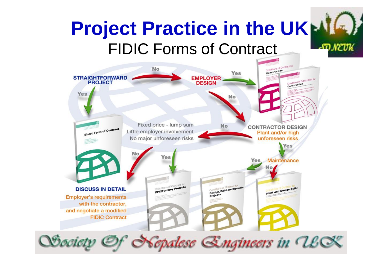#### **Project Practice in the UK**FIDIC Forms of Contract -ST NEVK

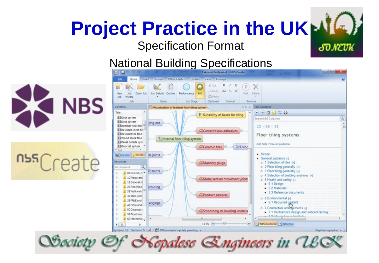# **Project Practice in the UK**

#### Specification Format

#### National Building Specifications







**SONEUK** 

epalese Engineers in USO Qosciety Of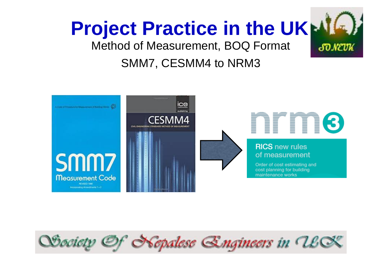

**SONEUK** 

Method of Measurement, BOQ Format

### SMM7, CESMM4 to NRM3



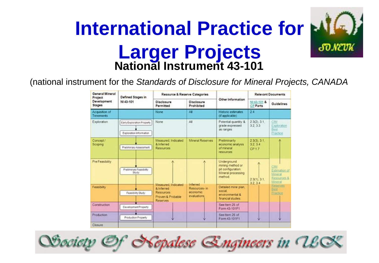### **National Instrument 43-101 International Practice for Larger Projects**

(national instrument for the *Standards of Disclosure for Mineral Projects, CANADA*

| General Mineral<br>Project   | Defined Stages in                                     | Resource & Reserve Categories                                                                |                                                             | Other Information                                                                     | <b>Relevant Documents</b>               |                                                               |
|------------------------------|-------------------------------------------------------|----------------------------------------------------------------------------------------------|-------------------------------------------------------------|---------------------------------------------------------------------------------------|-----------------------------------------|---------------------------------------------------------------|
| Development<br><b>Stages</b> | NI 43-101                                             | Disclosure<br>Permitted                                                                      | Disclosure<br>Prohibited                                    |                                                                                       | NI 43-101 &<br><b>CP Parts</b>          | Guidelines                                                    |
| Acquisition of<br>Tenements  |                                                       | None                                                                                         | A.                                                          | Historio estimates<br>(if applicable)                                                 | 24                                      |                                                               |
| Exploration                  | Early Exploration Property<br>Exploration Information | None                                                                                         | All                                                         | Potential quantity &<br>grade expressed<br>as ranges.                                 | 2.3(2), 3.1<br>3233                     | CIM<br>Exploration<br>Best<br>Practice                        |
| Concept /<br>Scoping         | <b>Preliminary Assessment</b>                         | Measured Indicated<br>& Inferred<br><b>Resources</b>                                         | <b>Mineral Reserves</b>                                     | Preliminarily<br>economic analysis<br>of mineral<br>resources.                        | 2.3(3), 3.1<br>3234<br>CP <sub>17</sub> |                                                               |
| Pre Feasbilty                | Preliminary Feasibility<br>Study                      |                                                                                              | A                                                           | Underground<br>mining method or<br>pit configuration.<br>Mineral processing<br>method | $23(1)$ $31$ .<br>3234                  | <b>CM</b><br>Estimation of<br>Mneral<br>Resources &<br>Mooral |
| Feasbility                   | Feasiblity Study                                      | Measured Indicated<br>& Inferred<br><b>Resources</b><br>Proven & Probable<br><b>Reserves</b> | <b>Inferred</b><br>Resources- in<br>economic<br>evaluations | Detailed mine plan,<br>social<br>environmental &<br>financial studes                  |                                         | <b><i><u>Reserves</u></i></b><br>Best<br><b>Exaction</b>      |
| Construction                 | Development Property                                  |                                                                                              |                                                             | See hem 25 of<br>Form 43-101F1                                                        |                                         |                                                               |
| Production                   | Production Property                                   |                                                                                              | Ψ                                                           | See Item 25 of<br>Form 43-101F1                                                       | v                                       | Ψ                                                             |
| Closure                      |                                                       |                                                                                              |                                                             |                                                                                       |                                         |                                                               |

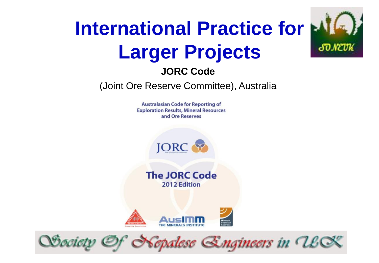## **International Practice for Larger Projects**

SO NEVK

#### **JORC Code**

(Joint Ore Reserve Committee), Australia

**Australasian Code for Reporting of Exploration Results, Mineral Resources** and Ore Reserves

**JORC** 

**The JORC Code** 2012 Edition



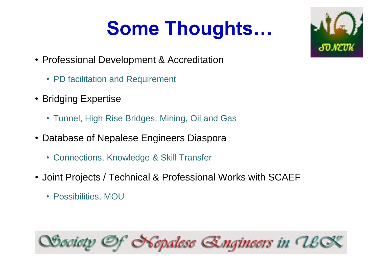## **Some Thoughts…**

- Professional Development & Accreditation
	- PD facilitation and Requirement
- Bridging Expertise
	- Tunnel, High Rise Bridges, Mining, Oil and Gas
- Database of Nepalese Engineers Diaspora
	- Connections, Knowledge & Skill Transfer
- Joint Projects / Technical & Professional Works with SCAEF
	- Possibilities, MOU